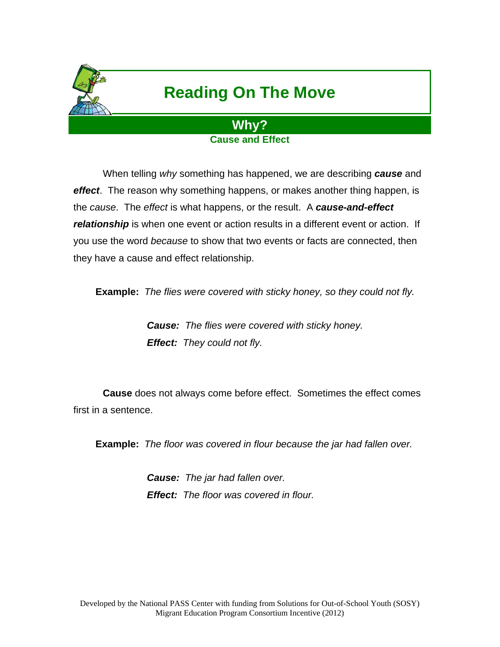

## **Reading On The Move**

## **Why? Cause and Effect**

 When telling *why* something has happened, we are describing *cause* and *effect*. The reason why something happens, or makes another thing happen, is the *cause*. The *effect* is what happens, or the result. A *cause-and-effect relationship* is when one event or action results in a different event or action. If you use the word *because* to show that two events or facts are connected, then they have a cause and effect relationship.

**Example:** *The flies were covered with sticky honey, so they could not fly.* 

*Cause: The flies were covered with sticky honey. Effect: They could not fly.* 

 **Cause** does not always come before effect. Sometimes the effect comes first in a sentence.

**Example:** *The floor was covered in flour because the jar had fallen over.* 

*Cause: The jar had fallen over. Effect: The floor was covered in flour.*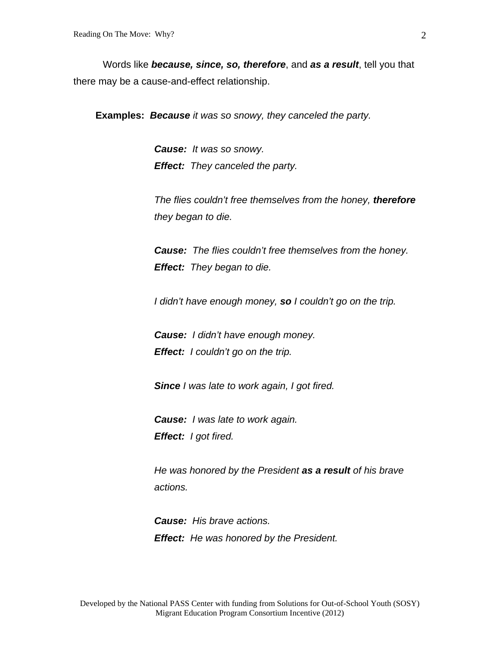Words like *because, since, so, therefore*, and *as a result*, tell you that there may be a cause-and-effect relationship.

**Examples:** *Because it was so snowy, they canceled the party.*

*Cause: It was so snowy. Effect: They canceled the party.* 

*The flies couldn't free themselves from the honey, therefore they began to die.* 

*Cause: The flies couldn't free themselves from the honey. Effect: They began to die.* 

*I didn't have enough money, so I couldn't go on the trip.* 

*Cause: I didn't have enough money. Effect: I couldn't go on the trip.* 

*Since I was late to work again, I got fired.* 

*Cause: I was late to work again. Effect: I got fired.* 

*He was honored by the President as a result of his brave actions.* 

*Cause: His brave actions. Effect: He was honored by the President.*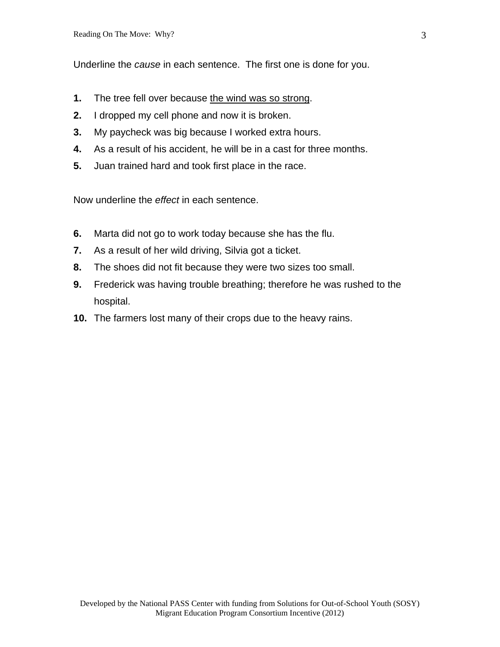Underline the *cause* in each sentence. The first one is done for you.

- **1.** The tree fell over because the wind was so strong.
- **2.** I dropped my cell phone and now it is broken.
- **3.** My paycheck was big because I worked extra hours.
- **4.** As a result of his accident, he will be in a cast for three months.
- **5.** Juan trained hard and took first place in the race.

Now underline the *effect* in each sentence.

- **6.** Marta did not go to work today because she has the flu.
- **7.** As a result of her wild driving, Silvia got a ticket.
- **8.** The shoes did not fit because they were two sizes too small.
- **9.** Frederick was having trouble breathing; therefore he was rushed to the hospital.
- **10.** The farmers lost many of their crops due to the heavy rains.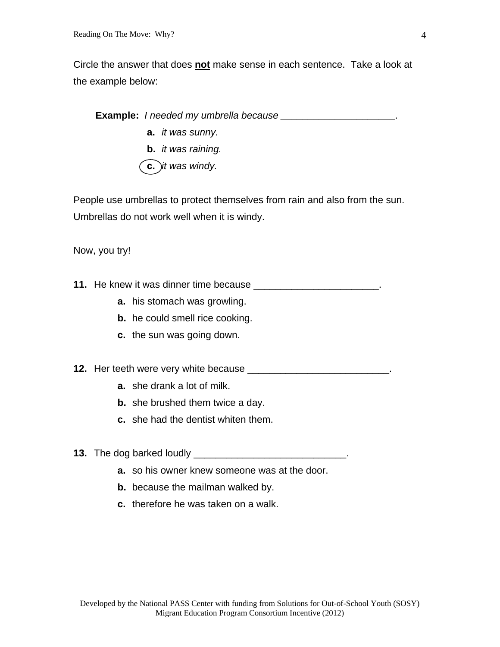Circle the answer that does **not** make sense in each sentence. Take a look at the example below:

**Example:** *I needed my umbrella because \_\_\_\_\_\_\_\_\_\_\_\_\_\_\_\_\_\_\_\_\_.*  **a.** *it was sunny.*  **b.** *it was raining.*  **c.** *it was windy.* 

People use umbrellas to protect themselves from rain and also from the sun. Umbrellas do not work well when it is windy.

Now, you try!

**11.** He knew it was dinner time because \_\_\_\_\_\_\_\_\_\_\_\_\_\_\_\_\_\_\_\_\_\_\_\_\_.

- **a.** his stomach was growling.
- **b.** he could smell rice cooking.
- **c.** the sun was going down.

**12.** Her teeth were very white because **Letter Lines and Service Contract to the service of the service of the service of the service of the service of the service of the service of the service of the service of the servi** 

- **a.** she drank a lot of milk.
- **b.** she brushed them twice a day.
- **c.** she had the dentist whiten them.
- **13.** The dog barked loudly \_\_\_\_\_\_\_\_\_\_\_\_\_\_\_\_\_\_\_\_\_\_\_\_\_\_\_\_.
	- **a.** so his owner knew someone was at the door.
	- **b.** because the mailman walked by.
	- **c.** therefore he was taken on a walk.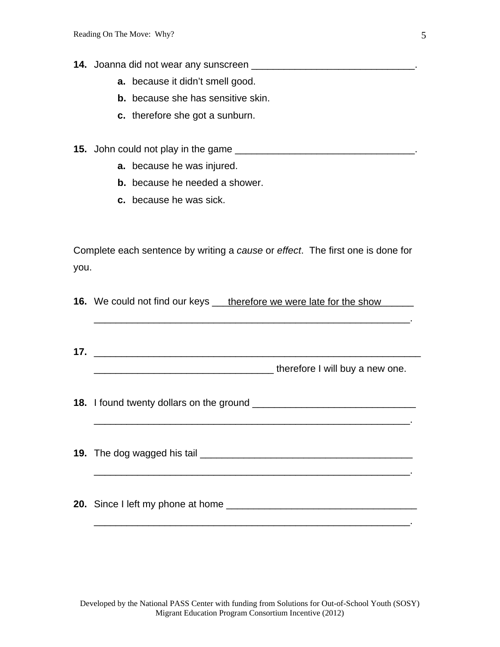- **14.** Joanna did not wear any sunscreen \_\_\_\_\_\_\_\_\_\_\_\_\_\_\_\_\_\_\_\_\_\_\_\_\_\_\_\_\_\_\_\_\_\_.
	- **a.** because it didn't smell good.
	- **b.** because she has sensitive skin.
	- **c.** therefore she got a sunburn.
- **15.** John could not play in the game \_\_\_\_\_\_\_\_\_\_\_\_\_\_\_\_\_\_\_\_\_\_\_\_\_\_\_\_\_\_\_\_\_.
	- **a.** because he was injured.
	- **b.** because he needed a shower.
	- **c.** because he was sick.

Complete each sentence by writing a *cause* or *effect*. The first one is done for you.

**16.** We could not find our keys <u>therefore we were late for the show</u>

\_\_\_\_\_\_\_\_\_\_\_\_\_\_\_\_\_\_\_\_\_\_\_\_\_\_\_\_\_\_\_\_\_\_\_\_\_\_\_\_\_\_\_\_\_\_\_\_\_\_\_\_\_\_\_\_\_\_.

**17.** \_\_\_\_\_\_\_\_\_\_\_\_\_\_\_\_\_\_\_\_\_\_\_\_\_\_\_\_\_\_\_\_\_\_\_\_\_\_\_\_\_\_\_\_\_\_\_\_\_\_\_\_\_\_\_\_\_\_\_\_ \_\_\_\_\_\_\_\_\_\_\_\_\_\_\_\_\_\_\_\_\_\_\_\_\_\_\_\_\_\_\_\_\_ therefore I will buy a new one.

**18.** I found twenty dollars on the ground \_\_\_\_\_\_\_\_\_\_\_\_\_\_\_\_\_\_\_\_\_\_\_\_\_\_\_\_\_\_

\_\_\_\_\_\_\_\_\_\_\_\_\_\_\_\_\_\_\_\_\_\_\_\_\_\_\_\_\_\_\_\_\_\_\_\_\_\_\_\_\_\_\_\_\_\_\_\_\_\_\_\_\_\_\_\_\_\_.

\_\_\_\_\_\_\_\_\_\_\_\_\_\_\_\_\_\_\_\_\_\_\_\_\_\_\_\_\_\_\_\_\_\_\_\_\_\_\_\_\_\_\_\_\_\_\_\_\_\_\_\_\_\_\_\_\_\_.

\_\_\_\_\_\_\_\_\_\_\_\_\_\_\_\_\_\_\_\_\_\_\_\_\_\_\_\_\_\_\_\_\_\_\_\_\_\_\_\_\_\_\_\_\_\_\_\_\_\_\_\_\_\_\_\_\_\_.

**19.** The dog wagged his tail \_\_\_\_\_\_\_\_\_\_\_\_\_\_\_\_\_\_\_\_\_\_\_\_\_\_\_\_\_\_\_\_\_\_\_\_\_\_\_

**20.** Since I left my phone at home **EXALUATE:**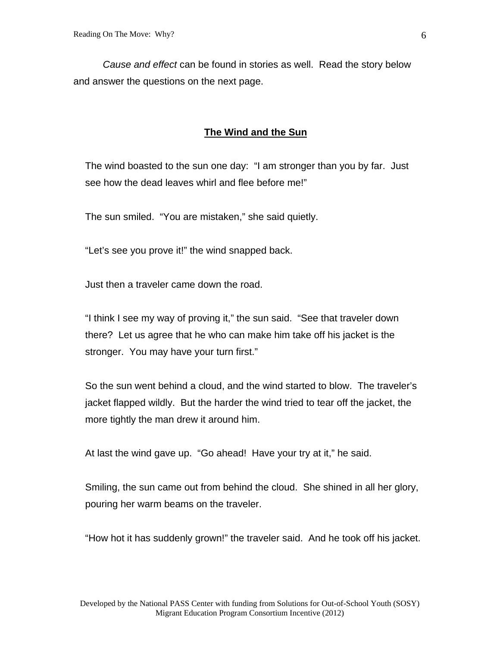*Cause and effect* can be found in stories as well. Read the story below and answer the questions on the next page.

## **The Wind and the Sun**

The wind boasted to the sun one day: "I am stronger than you by far. Just see how the dead leaves whirl and flee before me!"

The sun smiled. "You are mistaken," she said quietly.

"Let's see you prove it!" the wind snapped back.

Just then a traveler came down the road.

"I think I see my way of proving it," the sun said. "See that traveler down there? Let us agree that he who can make him take off his jacket is the stronger. You may have your turn first."

So the sun went behind a cloud, and the wind started to blow. The traveler's jacket flapped wildly. But the harder the wind tried to tear off the jacket, the more tightly the man drew it around him.

At last the wind gave up. "Go ahead! Have your try at it," he said.

Smiling, the sun came out from behind the cloud. She shined in all her glory, pouring her warm beams on the traveler.

"How hot it has suddenly grown!" the traveler said. And he took off his jacket.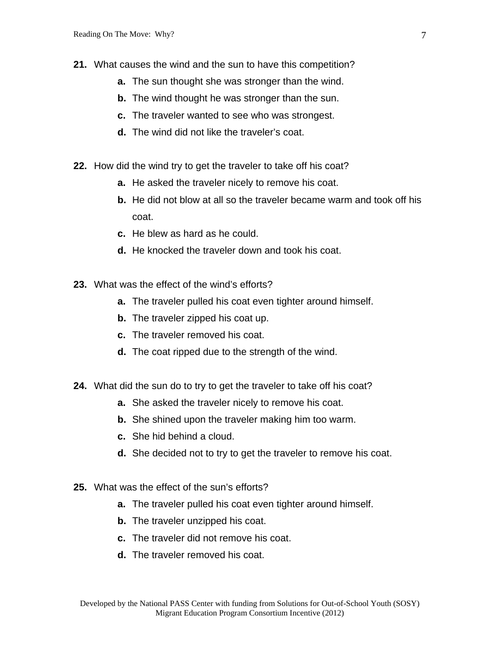- **21.** What causes the wind and the sun to have this competition?
	- **a.** The sun thought she was stronger than the wind.
	- **b.** The wind thought he was stronger than the sun.
	- **c.** The traveler wanted to see who was strongest.
	- **d.** The wind did not like the traveler's coat.
- **22.** How did the wind try to get the traveler to take off his coat?
	- **a.** He asked the traveler nicely to remove his coat.
	- **b.** He did not blow at all so the traveler became warm and took off his coat.
	- **c.** He blew as hard as he could.
	- **d.** He knocked the traveler down and took his coat.
- **23.** What was the effect of the wind's efforts?
	- **a.** The traveler pulled his coat even tighter around himself.
	- **b.** The traveler zipped his coat up.
	- **c.** The traveler removed his coat.
	- **d.** The coat ripped due to the strength of the wind.
- **24.** What did the sun do to try to get the traveler to take off his coat?
	- **a.** She asked the traveler nicely to remove his coat.
	- **b.** She shined upon the traveler making him too warm.
	- **c.** She hid behind a cloud.
	- **d.** She decided not to try to get the traveler to remove his coat.
- **25.** What was the effect of the sun's efforts?
	- **a.** The traveler pulled his coat even tighter around himself.
	- **b.** The traveler unzipped his coat.
	- **c.** The traveler did not remove his coat.
	- **d.** The traveler removed his coat.